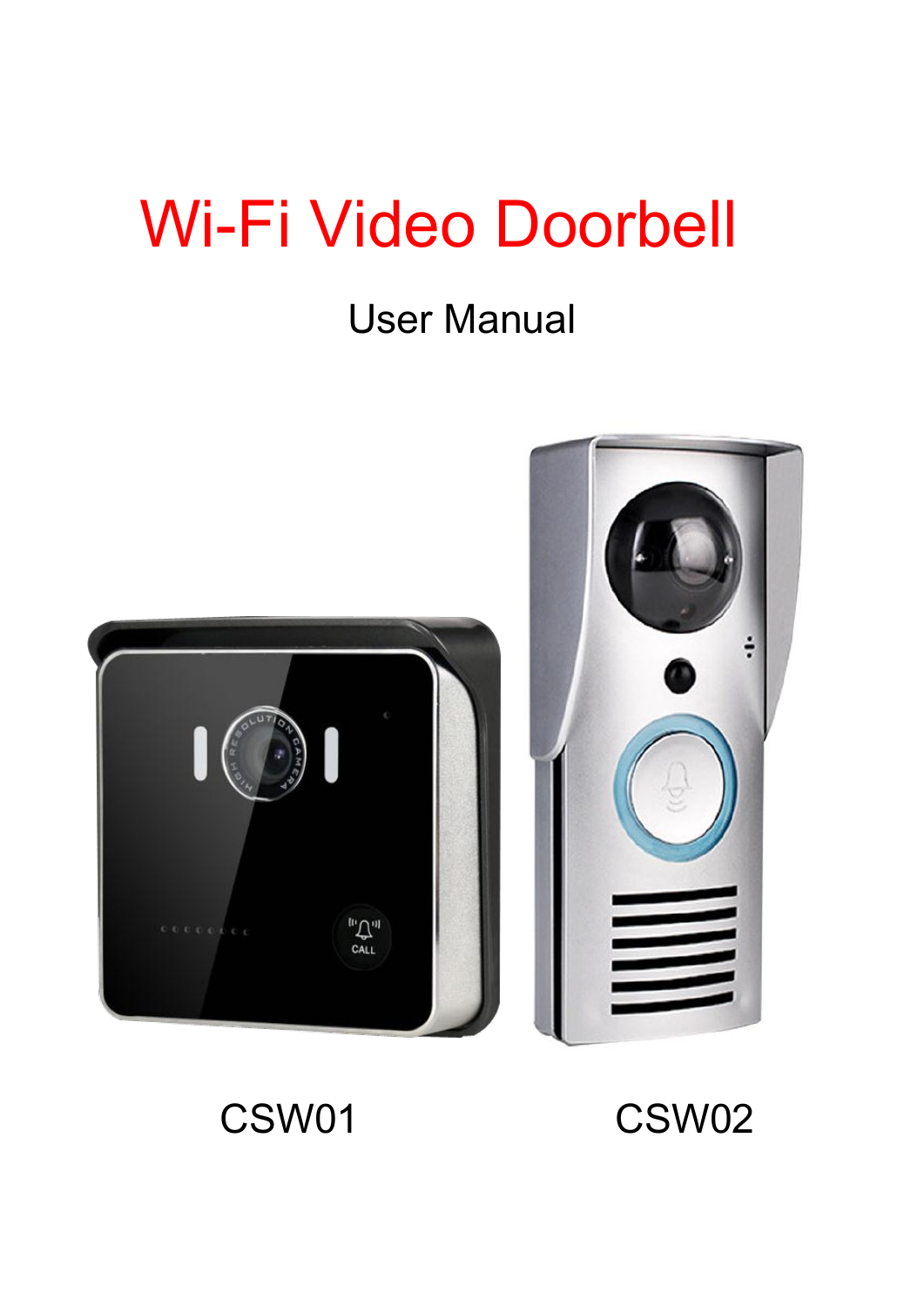# Wi-Fi Video Doorbell

## User Manual





CSW01 CSW02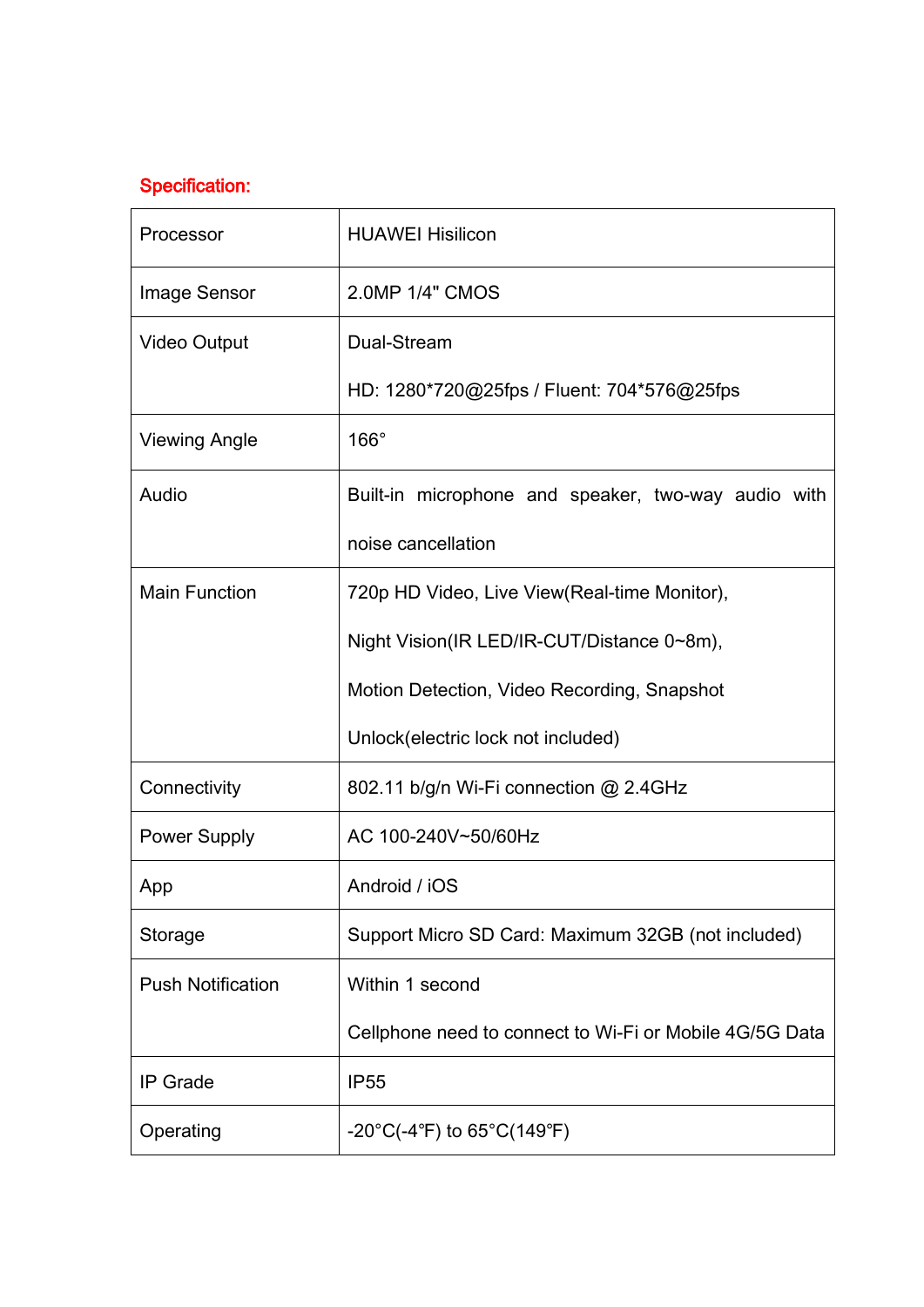### Specification:

| Processor                | <b>HUAWEI Hisilicon</b>                                 |
|--------------------------|---------------------------------------------------------|
| Image Sensor             | 2.0MP 1/4" CMOS                                         |
| <b>Video Output</b>      | Dual-Stream                                             |
|                          | HD: 1280*720@25fps / Fluent: 704*576@25fps              |
| <b>Viewing Angle</b>     | $166^\circ$                                             |
| Audio                    | Built-in microphone and speaker, two-way audio with     |
|                          | noise cancellation                                      |
| <b>Main Function</b>     | 720p HD Video, Live View (Real-time Monitor),           |
|                          | Night Vision(IR LED/IR-CUT/Distance 0~8m),              |
|                          | Motion Detection, Video Recording, Snapshot             |
|                          | Unlock(electric lock not included)                      |
| Connectivity             | 802.11 b/g/n Wi-Fi connection @ 2.4GHz                  |
| <b>Power Supply</b>      | AC 100-240V~50/60Hz                                     |
| App                      | Android / iOS                                           |
| Storage                  | Support Micro SD Card: Maximum 32GB (not included)      |
| <b>Push Notification</b> | Within 1 second                                         |
|                          | Cellphone need to connect to Wi-Fi or Mobile 4G/5G Data |
| <b>IP</b> Grade          | <b>IP55</b>                                             |
| Operating                | $-20^{\circ}C(-4^{\circ}F)$ to 65°C(149°F)              |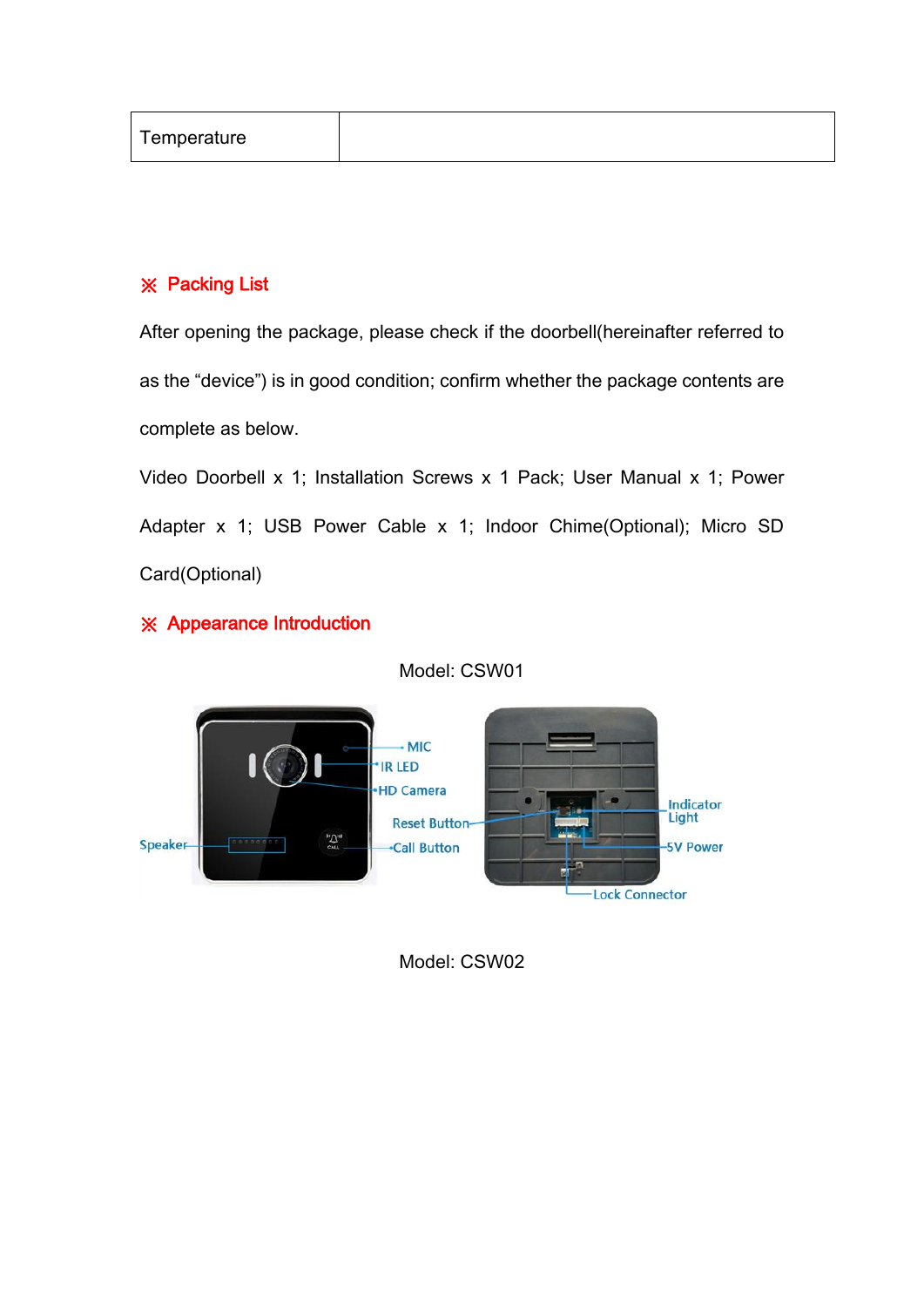| Temperature |  |
|-------------|--|
|-------------|--|

#### ※ Packing List

After opening the package, please check if the doorbell(hereinafter referred to as the "device") is in good condition; confirm whether the package contents are complete as below.

Video Doorbell x 1; Installation Screws x 1 Pack; User Manual x 1; Power Adapter x 1; USB Power Cable x 1; Indoor Chime(Optional); Micro SD Card(Optional)

#### ※ Appearance Introduction



Model: CSW01

Model: CSW02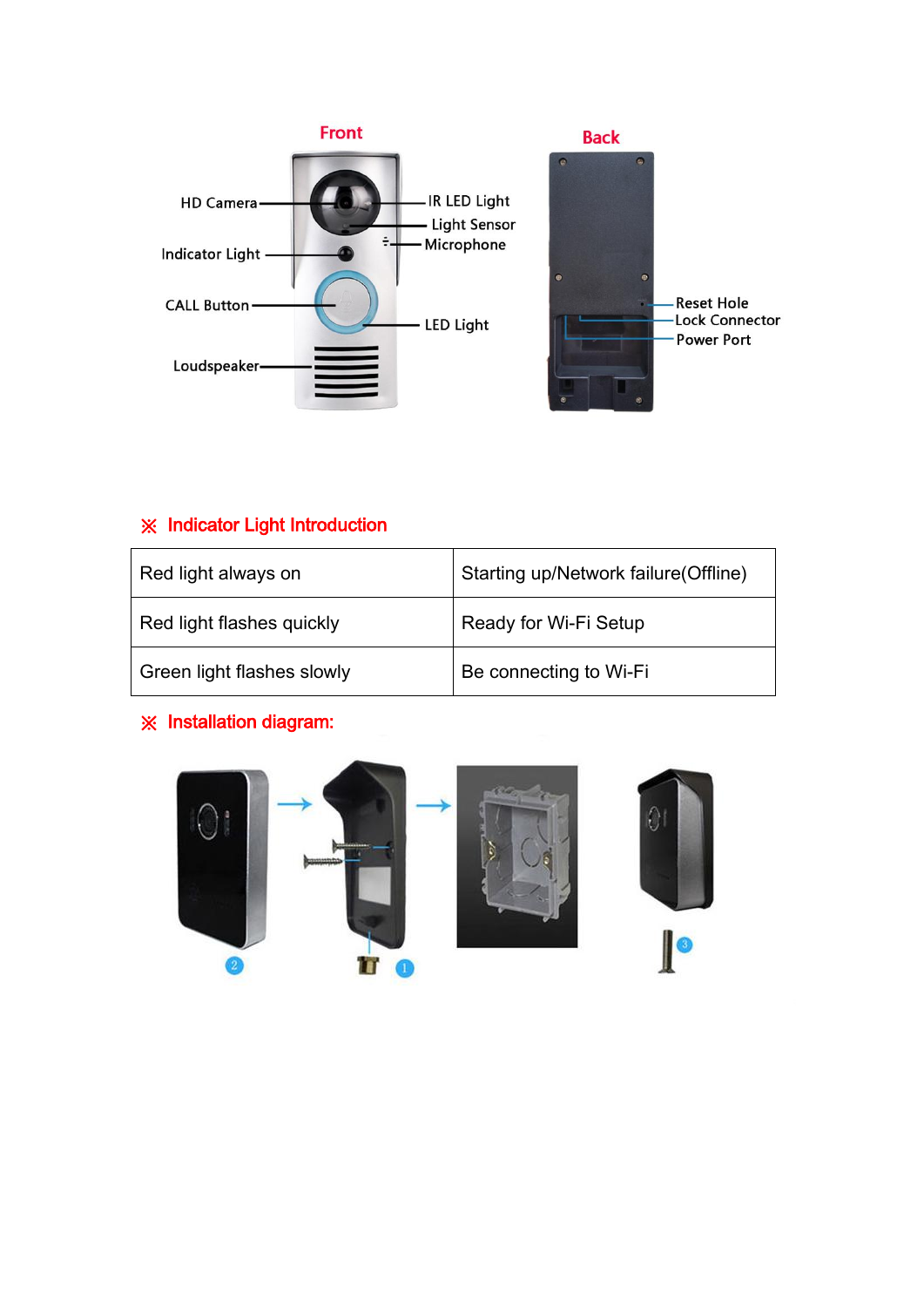

### ※ Indicator Light Introduction

| Red light always on        | Starting up/Network failure(Offline) |
|----------------------------|--------------------------------------|
| Red light flashes quickly  | Ready for Wi-Fi Setup                |
| Green light flashes slowly | Be connecting to Wi-Fi               |

#### ※ Installation diagram:

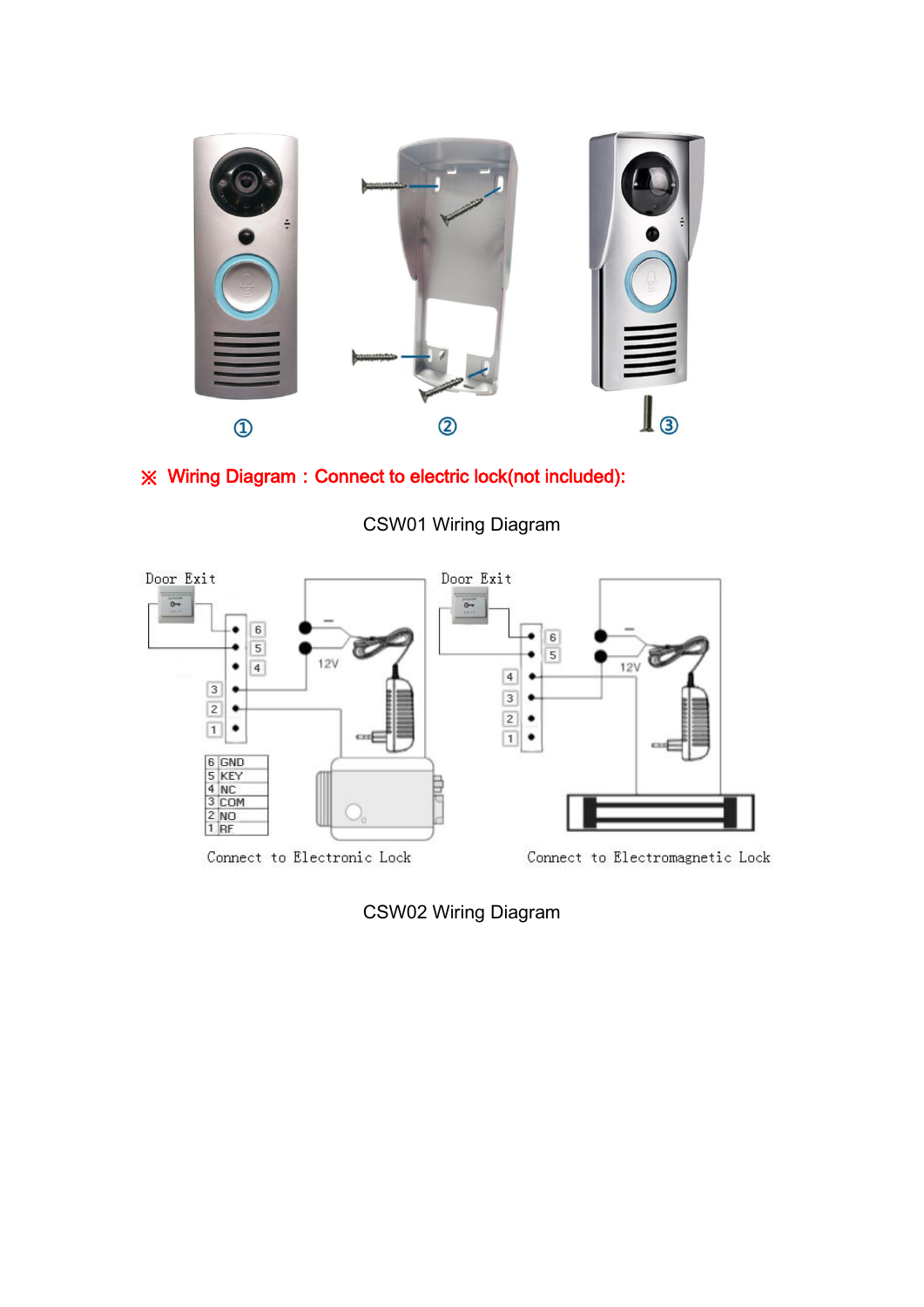

### ※ Wiring Diagram:Connect to electric lock(not included):



CSW01 Wiring Diagram

CSW02 Wiring Diagram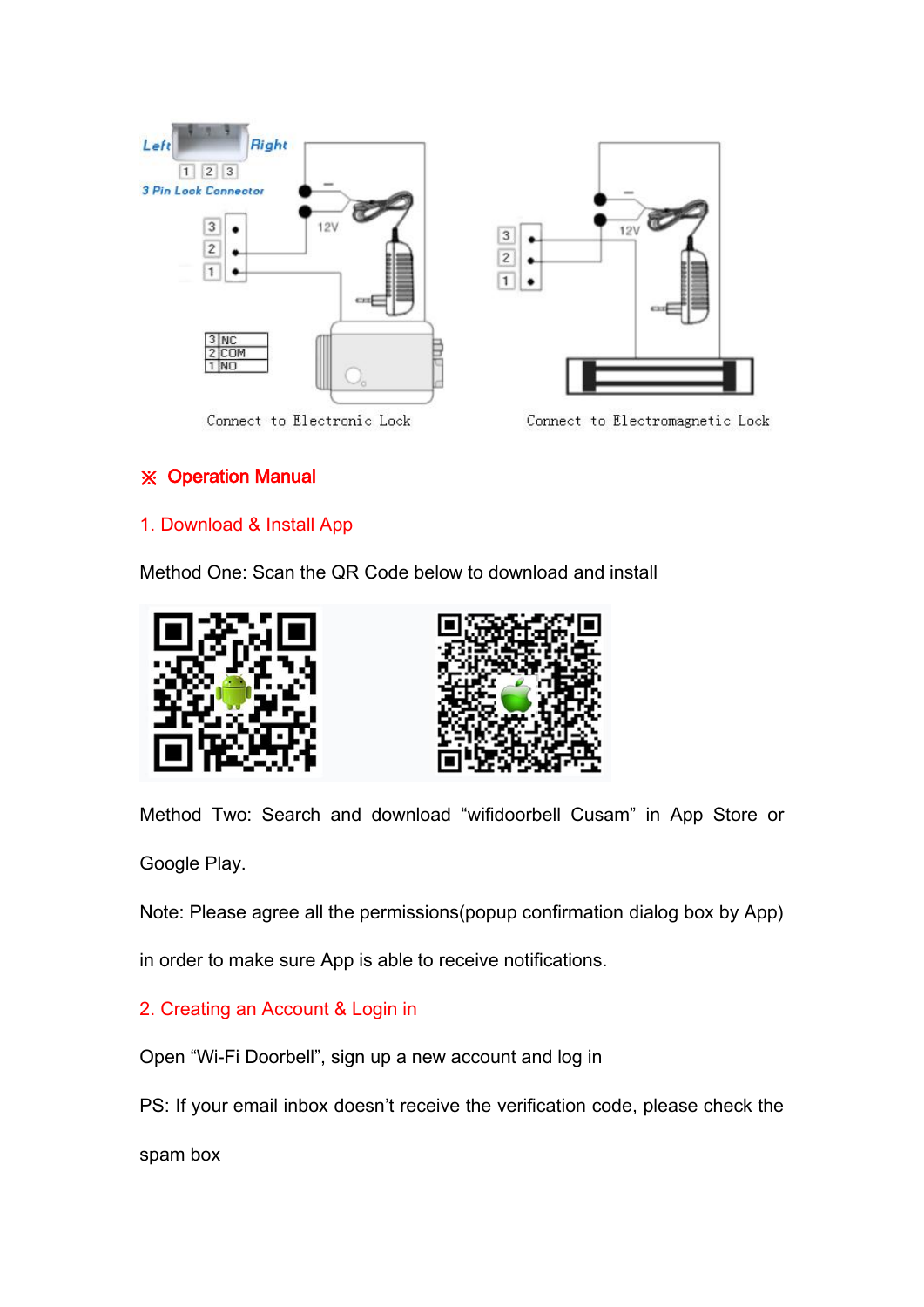

#### ※ Operation Manual

#### 1. Download & Install App

Method One: Scan the QR Code below to download and install





Method Two: Search and download "wifidoorbell Cusam" in App Store or

Google Play.

Note: Please agree all the permissions(popup confirmation dialog box by App)

in order to make sure App is able to receive notifications.

#### 2. Creating an Account & Login in

Open "Wi-Fi Doorbell", sign up a new account and log in

PS: If your email inbox doesn't receive the verification code, please check the

spam box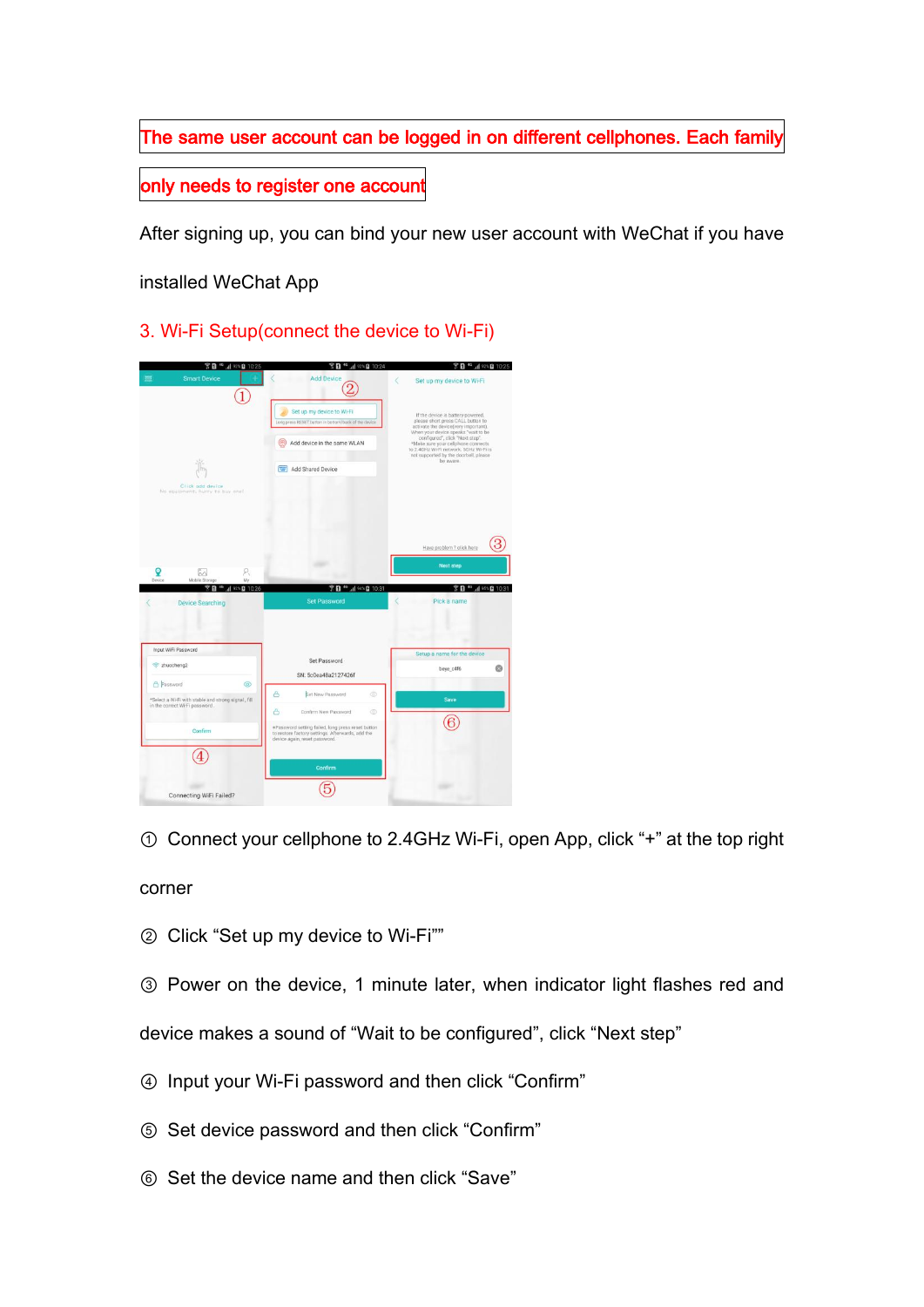The same user account can be logged in on different cellphones. Each family

only needs to register one account

After signing up, you can bind your new user account with WeChat if you have

installed WeChat App

3. Wi-Fi Setup(connect the device to Wi-Fi)



① Connect your cellphone to 2.4GHz Wi-Fi, open App, click "+" at the top right

corner

② Click "Set up my device to Wi-Fi""

③ Power on the device, 1 minute later, when indicator light flashes red and

device makes a sound of "Wait to be configured", click "Next step"

- ④ Input your Wi-Fi password and then click "Confirm"
- ⑤ Set device password and then click "Confirm"
- ⑥ Set the device name and then click "Save"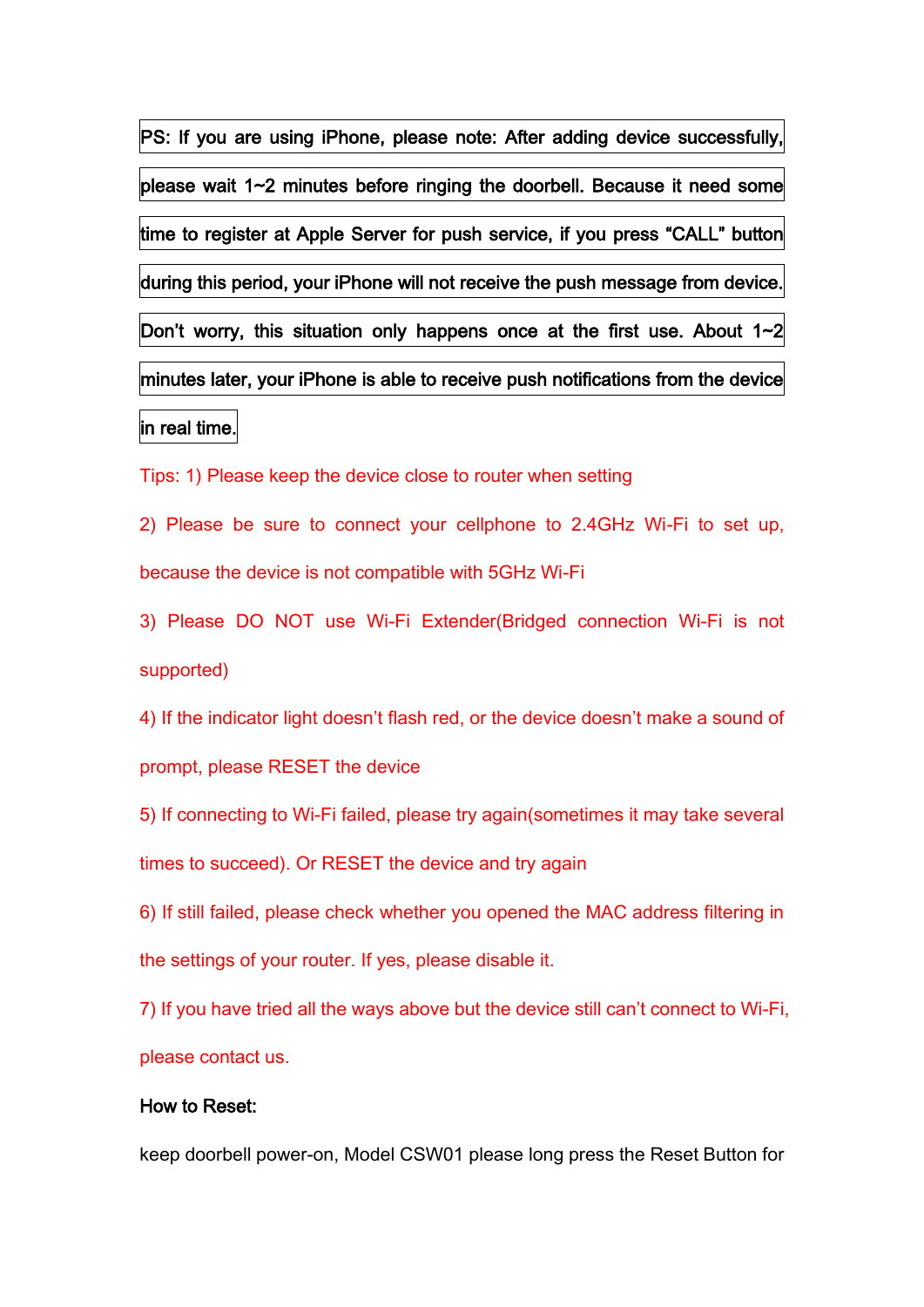PS: If you are using iPhone, please note: After adding device successfully, please wait 1~2 minutes before ringing the doorbell. Because it need some time to register at Apple Server for push service, if you press "CALL" button during this period, your iPhone will not receive the push message from device. Don't worry, this situation only happens once at the first use. About 1~2 minutes later, your iPhone is able to receive push notifications from the device in real time.

Tips: 1) Please keep the device close to router when setting

2) Please be sure to connect your cellphone to 2.4GHz Wi-Fi to set up, because the device is not compatible with 5GHz Wi-Fi

3) Please DO NOT use Wi-Fi Extender(Bridged connection Wi-Fi is not supported)

4) If the indicator light doesn't flash red, or the device doesn't make a sound of prompt, please RESET the device

5) If connecting to Wi-Fi failed, please try again(sometimes it may take several times to succeed). Or RESET the device and try again

6) If still failed, please check whether you opened the MAC address filtering in the settings of your router. If yes, please disable it.

7) If you have tried all the ways above but the device still can't connect to Wi-Fi, please contact us.

#### How to Reset:

keep doorbell power-on, Model CSW01 please long press the Reset Button for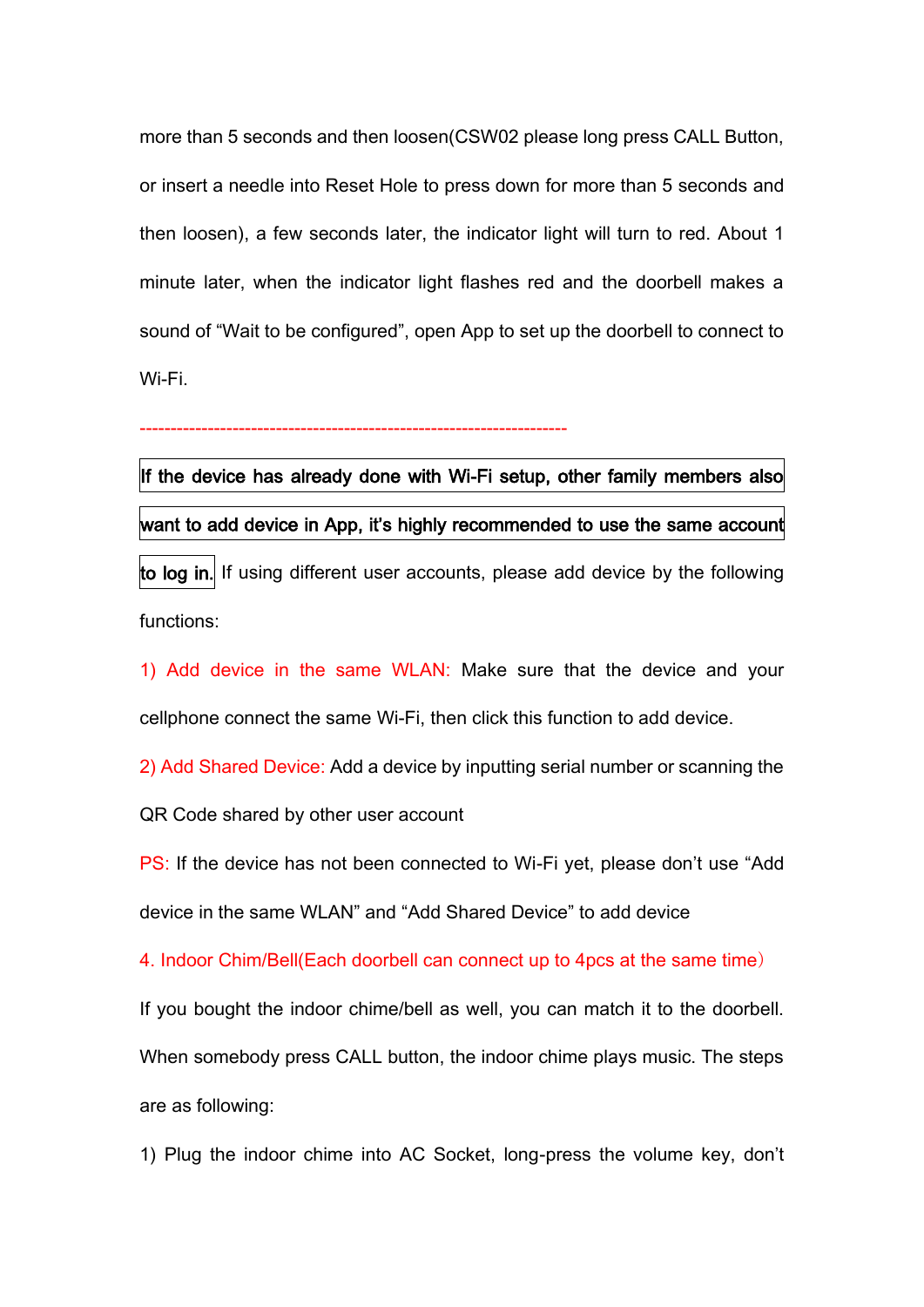more than 5 seconds and then loosen(CSW02 please long press CALL Button, or insert a needle into Reset Hole to press down for more than 5 seconds and then loosen), a few seconds later, the indicator light will turn to red. About 1 minute later, when the indicator light flashes red and the doorbell makes a sound of "Wait to be configured", open App to set up the doorbell to connect to Wi-Fi.

---------------------------------------------------------------------

If the device has already done with Wi-Fi setup, other family members also want to add device in App, it's highly recommended to use the same account to log in. If using different user accounts, please add device by the following functions:

1) Add device in the same WLAN: Make sure that the device and your cellphone connect the same Wi-Fi, then click this function to add device.

2) Add Shared Device: Add a device by inputting serial number or scanning the

QR Code shared by other user account

PS: If the device has not been connected to Wi-Fi yet, please don't use "Add device in the same WLAN" and "Add Shared Device" to add device

4. Indoor Chim/Bell(Each doorbell can connect up to 4pcs at the same time)

If you bought the indoor chime/bell as well, you can match it to the doorbell.

When somebody press CALL button, the indoor chime plays music. The steps are as following:

1) Plug the indoor chime into AC Socket, long-press the volume key, don't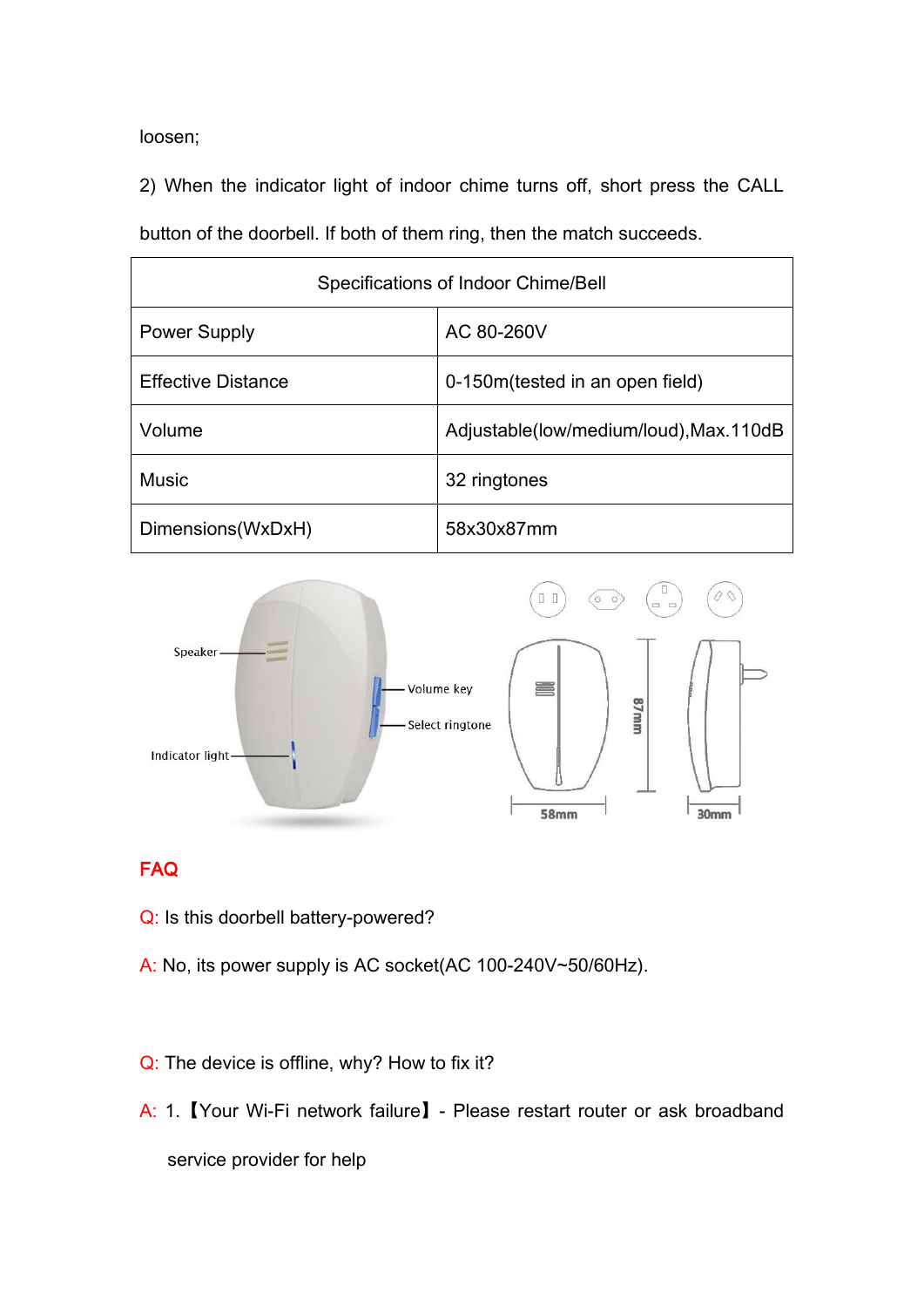loosen;

2) When the indicator light of indoor chime turns off, short press the CALL

button of the doorbell. If both of them ring, then the match succeeds.

| Specifications of Indoor Chime/Bell |                                         |  |
|-------------------------------------|-----------------------------------------|--|
| <b>Power Supply</b>                 | AC 80-260V                              |  |
| <b>Effective Distance</b>           | 0-150m (tested in an open field)        |  |
| Volume                              | Adjustable(low/medium/loud), Max. 110dB |  |
| <b>Music</b>                        | 32 ringtones                            |  |
| Dimensions(WxDxH)                   | 58x30x87mm                              |  |



#### FAQ

- Q: Is this doorbell battery-powered?
- A: No, its power supply is AC socket(AC 100-240V~50/60Hz).
- Q: The device is offline, why? How to fix it?
- A: 1.【Your Wi-Fi network failure】- Please restart router or ask broadband service provider for help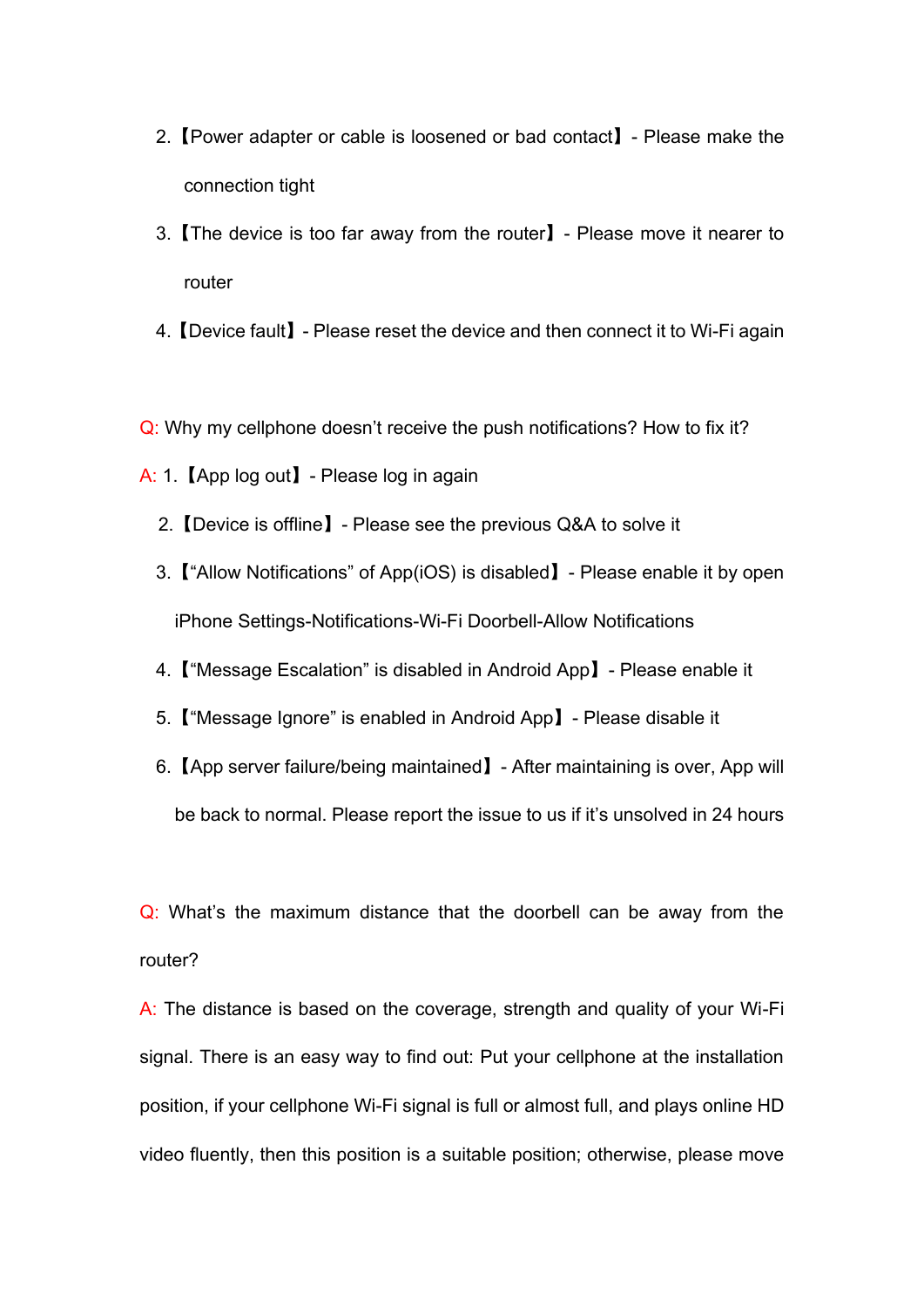- 2.【Power adapter or cable is loosened or bad contact】- Please make the connection tight
- 3.【The device is too far away from the router】- Please move it nearer to router
- 4.【Device fault】- Please reset the device and then connect it to Wi-Fi again
- Q: Why my cellphone doesn't receive the push notifications? How to fix it?
- A: 1.【App log out】- Please log in again
	- 2.【Device is offline】- Please see the previous Q&A to solve it
	- 3.【"Allow Notifications" of App(iOS) is disabled】- Please enable it by open iPhone Settings-Notifications-Wi-Fi Doorbell-Allow Notifications
	- 4.【"Message Escalation" is disabled in Android App】- Please enable it
	- 5.【"Message Ignore" is enabled in Android App】- Please disable it
	- 6.【App server failure/being maintained】- After maintaining is over, App will be back to normal. Please report the issue to us if it's unsolved in 24 hours

Q: What's the maximum distance that the doorbell can be away from the router?

A: The distance is based on the coverage, strength and quality of your Wi-Fi signal. There is an easy way to find out: Put your cellphone at the installation position, if your cellphone Wi-Fi signal is full or almost full, and plays online HD video fluently, then this position is a suitable position; otherwise, please move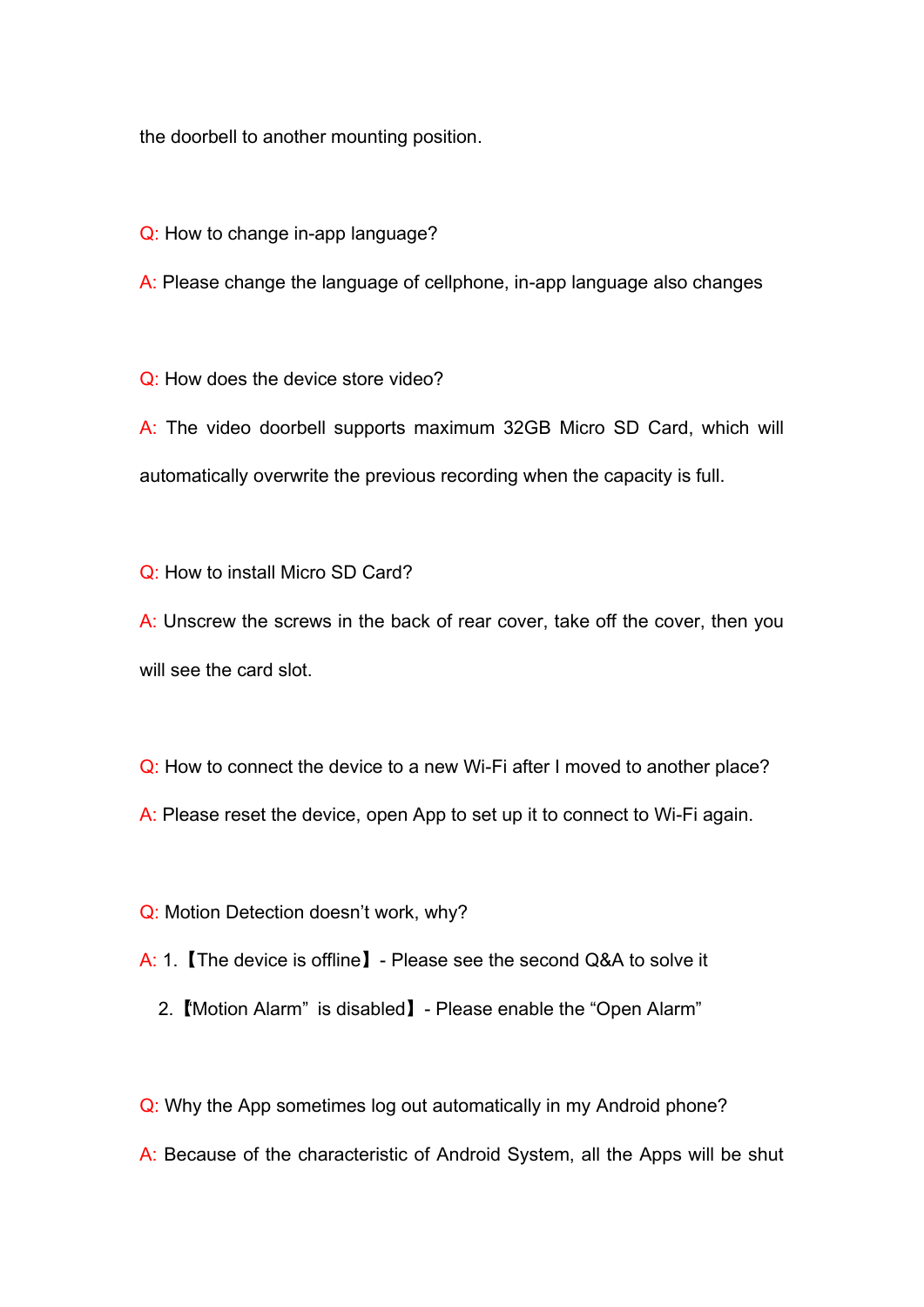the doorbell to another mounting position.

- Q: How to change in-app language?
- A: Please change the language of cellphone, in-app language also changes

Q: How does the device store video?

A: The video doorbell supports maximum 32GB Micro SD Card, which will automatically overwrite the previous recording when the capacity is full.

Q: How to install Micro SD Card?

A: Unscrew the screws in the back of rear cover, take off the cover, then you will see the card slot.

Q: How to connect the device to a new Wi-Fi after I moved to another place? A: Please reset the device, open App to set up it to connect to Wi-Fi again.

Q: Motion Detection doesn't work, why?

A: 1.【The device is offline】- Please see the second Q&A to solve it

2.【"Motion Alarm" is disabled】- Please enable the "Open Alarm"

Q: Why the App sometimes log out automatically in my Android phone?

A: Because of the characteristic of Android System, all the Apps will be shut